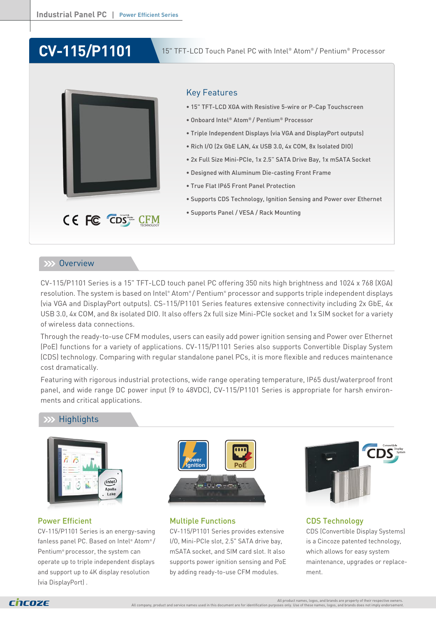# **CV-115/P1101**



# Key Features

- 15" TFT-LCD XGA with Resistive 5-wire or P-Cap Touchscreen
- Onboard Intel® Atom® / Pentium® Processor
- Triple Independent Displays (via VGA and DisplayPort outputs)
- Rich I/O (2x GbE LAN, 4x USB 3.0, 4x COM, 8x Isolated DIO)
- 2x Full Size Mini-PCIe, 1x 2.5" SATA Drive Bay, 1x mSATA Socket
- Designed with Aluminum Die-casting Front Frame
- True Flat IP65 Front Panel Protection
- Supports CDS Technology, Ignition Sensing and Power over Ethernet
- Supports Panel / VESA / Rack Mounting

## **EXX Overview**

CV-115/P1101 Series is a 15" TFT-LCD touch panel PC offering 350 nits high brightness and 1024 x 768 (XGA) resolution. The system is based on Intel® Atom®/ Pentium® processor and supports triple independent displays (via VGA and DisplayPort outputs). CS-115/P1101 Series features extensive connectivity including 2x GbE, 4x USB 3.0, 4x COM, and 8x isolated DIO. It also offers 2x full size Mini-PCIe socket and 1x SIM socket for a variety of wireless data connections.

Through the ready-to-use CFM modules, users can easily add power ignition sensing and Power over Ethernet (PoE) functions for a variety of applications. CV-115/P1101 Series also supports Convertible Display System (CDS) technology. Comparing with regular standalone panel PCs, it is more flexible and reduces maintenance cost dramatically.

Featuring with rigorous industrial protections, wide range operating temperature, IP65 dust/waterproof front panel, and wide range DC power input (9 to 48VDC), CV-115/P1101 Series is appropriate for harsh environments and critical applications.

# **Highlights**



# Power Efficient

CV-115/P1101 Series is an energy-saving fanless panel PC. Based on Intel® Atom® / Pentium® processor, the system can operate up to triple independent displays and support up to 4K display resolution (via DisplayPort) .



# Multiple Functions

CV-115/P1101 Series provides extensive I/O, Mini-PCIe slot, 2.5" SATA drive bay, mSATA socket, and SIM card slot. It also supports power ignition sensing and PoE by adding ready-to-use CFM modules.



CDS Technology CDS (Convertible Display Systems) is a Cincoze patented technology, which allows for easy system maintenance, upgrades or replacement.

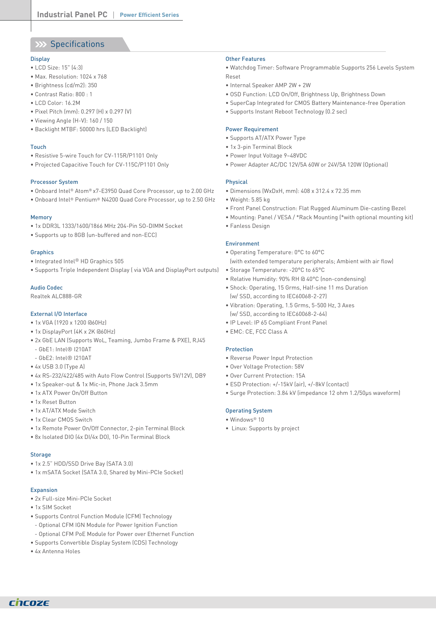# XX Specifications

#### **Display**

- LCD Size: 15" (4:3)
- Max. Resolution: 1024 x 768
- Brightness (cd/m2): 350
- Contrast Ratio: 800 : 1
- LCD Color: 16.2M
- Pixel Pitch (mm): 0.297 (H) x 0.297 (V)
- Viewing Angle (H-V): 160 / 150
- Backlight MTBF: 50000 hrs (LED Backlight)

#### Touch

- Resistive 5-wire Touch for CV-115R/P1101 Only
- Projected Capacitive Touch for CV-115C/P1101 Only

#### Processor System

- Onboard Intel® Atom® x7-E3950 Quad Core Processor, up to 2.00 GHz
- Onboard Intel® Pentium® N4200 Quad Core Processor, up to 2.50 GHz

#### Memory

- 1x DDR3L 1333/1600/1866 MHz 204-Pin SO-DIMM Socket
- Supports up to 8GB (un-buffered and non-ECC)

#### **Graphics**

- Integrated Intel® HD Graphics 505
- Supports Triple Independent Display ( via VGA and DisplayPort outputs)

#### Audio Codec

Realtek ALC888-GR

#### External I/O Interface

- 1x VGA (1920 x 1200 @60Hz)
- 1x DisplayPort (4K x 2K @60Hz)
- 2x GbE LAN (Supports WoL, Teaming, Jumbo Frame & PXE), RJ45
- GbE1: Intel® I210AT
- GbE2: Intel® I210AT
- 4x USB 3.0 (Type A)
- 4x RS-232/422/485 with Auto Flow Control (Supports 5V/12V), DB9
- 1x Speaker-out & 1x Mic-in, Phone Jack 3.5mm
- 1x ATX Power On/Off Button
- 1x Reset Button
- 1x AT/ATX Mode Switch
- 1x Clear CMOS Switch
- 1x Remote Power On/Off Connector, 2-pin Terminal Block
- 8x Isolated DIO (4x DI/4x DO), 10-Pin Terminal Block

#### **Storage**

- 1x 2.5" HDD/SSD Drive Bay (SATA 3.0)
- 1x mSATA Socket (SATA 3.0, Shared by Mini-PCIe Socket)

#### **Expansion**

- 2x Full-size Mini-PCIe Socket
- 1x SIM Socket
- Supports Control Function Module (CFM) Technology
- Optional CFM IGN Module for Power Ignition Function
- Optional CFM PoE Module for Power over Ethernet Function
- Supports Convertible Display System (CDS) Technology
- 4x Antenna Holes

#### Other Features

• Watchdog Timer: Software Programmable Supports 256 Levels System Reset

- Internal Speaker AMP 2W + 2W
- OSD Function: LCD On/Off, Brightness Up, Brightness Down
- SuperCap Integrated for CMOS Battery Maintenance-free Operation
- Supports Instant Reboot Technology (0.2 sec)

#### Power Requirement

- Supports AT/ATX Power Type
- 1x 3-pin Terminal Block
- Power Input Voltage 9~48VDC
- Power Adapter AC/DC 12V/5A 60W or 24V/5A 120W (Optional)

#### Physical

- Dimensions (WxDxH, mm): 408 x 312.4 x 72.35 mm
- Weight: 5.85 kg
- Front Panel Construction: Flat Rugged Aluminum Die-casting Bezel
- Mounting: Panel / VESA / \*Rack Mounting (\*with optional mounting kit)
- Fanless Design

#### Environment

- Operating Temperature: 0°C to 60°C
- (with extended temperature peripherals; Ambient with air flow) • Storage Temperature: -20°C to 65°C
- Relative Humidity: 90% RH @ 40°C (non-condensing)
- Shock: Operating, 15 Grms, Half-sine 11 ms Duration (w/ SSD, according to IEC60068-2-27)
- Vibration: Operating, 1.5 Grms, 5-500 Hz, 3 Axes (w/ SSD, according to IEC60068-2-64)
- IP Level: IP 65 Compliant Front Panel
- EMC: CE, FCC Class A

#### Protection

- Reverse Power Input Protection
- Over Voltage Protection: 58V
- Over Current Protection: 15A
- ESD Protection: +/-15kV (air), +/-8kV (contact)
- Surge Protection: 3.84 kV (impedance 12 ohm 1.2/50µs waveform)

# Operating System

- Windows® 10
- Linux: Supports by project

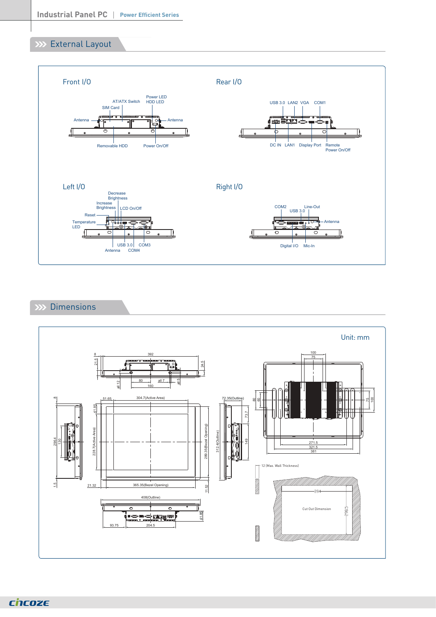# **XXX** External Layout



# XX Dimensions